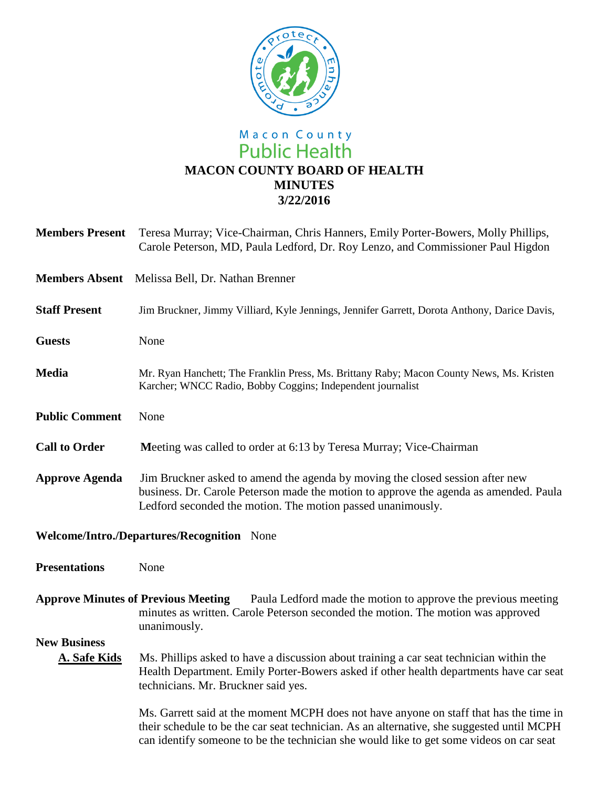

## Macon County<br>Public Health **MACON COUNTY BOARD OF HEALTH MINUTES 3/22/2016**

| <b>Members Present</b>                     | Teresa Murray; Vice-Chairman, Chris Hanners, Emily Porter-Bowers, Molly Phillips,<br>Carole Peterson, MD, Paula Ledford, Dr. Roy Lenzo, and Commissioner Paul Higdon                                                                                                           |
|--------------------------------------------|--------------------------------------------------------------------------------------------------------------------------------------------------------------------------------------------------------------------------------------------------------------------------------|
| <b>Members Absent</b>                      | Melissa Bell, Dr. Nathan Brenner                                                                                                                                                                                                                                               |
| <b>Staff Present</b>                       | Jim Bruckner, Jimmy Villiard, Kyle Jennings, Jennifer Garrett, Dorota Anthony, Darice Davis,                                                                                                                                                                                   |
| <b>Guests</b>                              | None                                                                                                                                                                                                                                                                           |
| <b>Media</b>                               | Mr. Ryan Hanchett; The Franklin Press, Ms. Brittany Raby; Macon County News, Ms. Kristen<br>Karcher; WNCC Radio, Bobby Coggins; Independent journalist                                                                                                                         |
| <b>Public Comment</b>                      | None                                                                                                                                                                                                                                                                           |
| <b>Call to Order</b>                       | Meeting was called to order at 6:13 by Teresa Murray; Vice-Chairman                                                                                                                                                                                                            |
| <b>Approve Agenda</b>                      | Jim Bruckner asked to amend the agenda by moving the closed session after new<br>business. Dr. Carole Peterson made the motion to approve the agenda as amended. Paula<br>Ledford seconded the motion. The motion passed unanimously.                                          |
| Welcome/Intro./Departures/Recognition None |                                                                                                                                                                                                                                                                                |
| <b>Presentations</b>                       | None                                                                                                                                                                                                                                                                           |
|                                            | <b>Approve Minutes of Previous Meeting</b><br>Paula Ledford made the motion to approve the previous meeting<br>minutes as written. Carole Peterson seconded the motion. The motion was approved<br>unanimously.                                                                |
| <b>New Business</b>                        |                                                                                                                                                                                                                                                                                |
| <b>A. Safe Kids</b>                        | Ms. Phillips asked to have a discussion about training a car seat technician within the<br>Health Department. Emily Porter-Bowers asked if other health departments have car seat<br>technicians. Mr. Bruckner said yes.                                                       |
|                                            | Ms. Garrett said at the moment MCPH does not have anyone on staff that has the time in<br>their schedule to be the car seat technician. As an alternative, she suggested until MCPH<br>can identify someone to be the technician she would like to get some videos on car seat |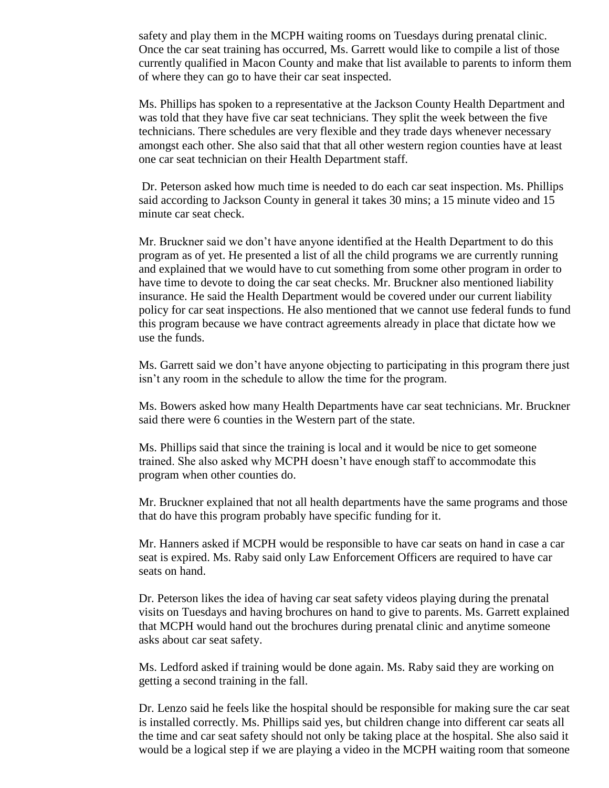safety and play them in the MCPH waiting rooms on Tuesdays during prenatal clinic. Once the car seat training has occurred, Ms. Garrett would like to compile a list of those currently qualified in Macon County and make that list available to parents to inform them of where they can go to have their car seat inspected.

Ms. Phillips has spoken to a representative at the Jackson County Health Department and was told that they have five car seat technicians. They split the week between the five technicians. There schedules are very flexible and they trade days whenever necessary amongst each other. She also said that that all other western region counties have at least one car seat technician on their Health Department staff.

Dr. Peterson asked how much time is needed to do each car seat inspection. Ms. Phillips said according to Jackson County in general it takes 30 mins; a 15 minute video and 15 minute car seat check.

Mr. Bruckner said we don't have anyone identified at the Health Department to do this program as of yet. He presented a list of all the child programs we are currently running and explained that we would have to cut something from some other program in order to have time to devote to doing the car seat checks. Mr. Bruckner also mentioned liability insurance. He said the Health Department would be covered under our current liability policy for car seat inspections. He also mentioned that we cannot use federal funds to fund this program because we have contract agreements already in place that dictate how we use the funds.

Ms. Garrett said we don't have anyone objecting to participating in this program there just isn't any room in the schedule to allow the time for the program.

Ms. Bowers asked how many Health Departments have car seat technicians. Mr. Bruckner said there were 6 counties in the Western part of the state.

Ms. Phillips said that since the training is local and it would be nice to get someone trained. She also asked why MCPH doesn't have enough staff to accommodate this program when other counties do.

Mr. Bruckner explained that not all health departments have the same programs and those that do have this program probably have specific funding for it.

Mr. Hanners asked if MCPH would be responsible to have car seats on hand in case a car seat is expired. Ms. Raby said only Law Enforcement Officers are required to have car seats on hand.

Dr. Peterson likes the idea of having car seat safety videos playing during the prenatal visits on Tuesdays and having brochures on hand to give to parents. Ms. Garrett explained that MCPH would hand out the brochures during prenatal clinic and anytime someone asks about car seat safety.

Ms. Ledford asked if training would be done again. Ms. Raby said they are working on getting a second training in the fall.

Dr. Lenzo said he feels like the hospital should be responsible for making sure the car seat is installed correctly. Ms. Phillips said yes, but children change into different car seats all the time and car seat safety should not only be taking place at the hospital. She also said it would be a logical step if we are playing a video in the MCPH waiting room that someone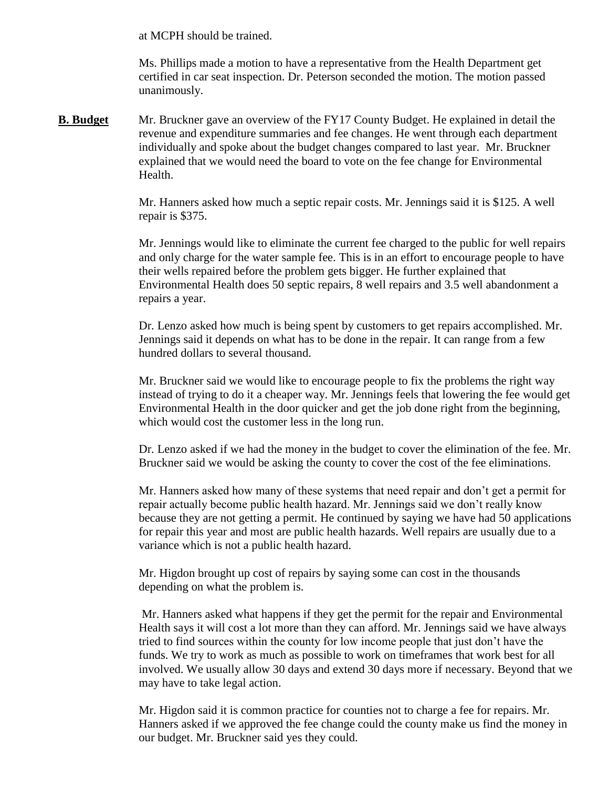at MCPH should be trained.

Ms. Phillips made a motion to have a representative from the Health Department get certified in car seat inspection. Dr. Peterson seconded the motion. The motion passed unanimously.

**B. Budget** Mr. Bruckner gave an overview of the FY17 County Budget. He explained in detail the revenue and expenditure summaries and fee changes. He went through each department individually and spoke about the budget changes compared to last year. Mr. Bruckner explained that we would need the board to vote on the fee change for Environmental Health.

> Mr. Hanners asked how much a septic repair costs. Mr. Jennings said it is \$125. A well repair is \$375.

Mr. Jennings would like to eliminate the current fee charged to the public for well repairs and only charge for the water sample fee. This is in an effort to encourage people to have their wells repaired before the problem gets bigger. He further explained that Environmental Health does 50 septic repairs, 8 well repairs and 3.5 well abandonment a repairs a year.

Dr. Lenzo asked how much is being spent by customers to get repairs accomplished. Mr. Jennings said it depends on what has to be done in the repair. It can range from a few hundred dollars to several thousand.

Mr. Bruckner said we would like to encourage people to fix the problems the right way instead of trying to do it a cheaper way. Mr. Jennings feels that lowering the fee would get Environmental Health in the door quicker and get the job done right from the beginning, which would cost the customer less in the long run.

Dr. Lenzo asked if we had the money in the budget to cover the elimination of the fee. Mr. Bruckner said we would be asking the county to cover the cost of the fee eliminations.

Mr. Hanners asked how many of these systems that need repair and don't get a permit for repair actually become public health hazard. Mr. Jennings said we don't really know because they are not getting a permit. He continued by saying we have had 50 applications for repair this year and most are public health hazards. Well repairs are usually due to a variance which is not a public health hazard.

Mr. Higdon brought up cost of repairs by saying some can cost in the thousands depending on what the problem is.

Mr. Hanners asked what happens if they get the permit for the repair and Environmental Health says it will cost a lot more than they can afford. Mr. Jennings said we have always tried to find sources within the county for low income people that just don't have the funds. We try to work as much as possible to work on timeframes that work best for all involved. We usually allow 30 days and extend 30 days more if necessary. Beyond that we may have to take legal action.

Mr. Higdon said it is common practice for counties not to charge a fee for repairs. Mr. Hanners asked if we approved the fee change could the county make us find the money in our budget. Mr. Bruckner said yes they could.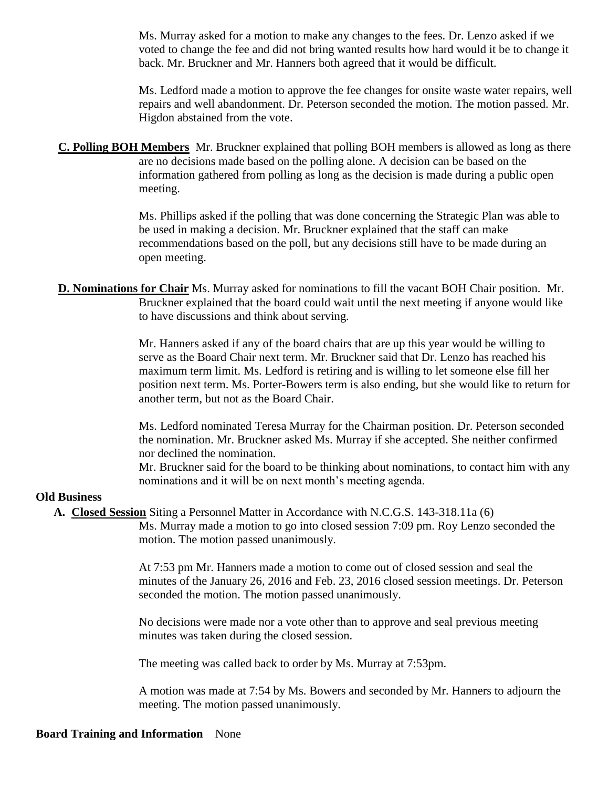Ms. Murray asked for a motion to make any changes to the fees. Dr. Lenzo asked if we voted to change the fee and did not bring wanted results how hard would it be to change it back. Mr. Bruckner and Mr. Hanners both agreed that it would be difficult.

Ms. Ledford made a motion to approve the fee changes for onsite waste water repairs, well repairs and well abandonment. Dr. Peterson seconded the motion. The motion passed. Mr. Higdon abstained from the vote.

**C. Polling BOH Members** Mr. Bruckner explained that polling BOH members is allowed as long as there are no decisions made based on the polling alone. A decision can be based on the information gathered from polling as long as the decision is made during a public open meeting.

> Ms. Phillips asked if the polling that was done concerning the Strategic Plan was able to be used in making a decision. Mr. Bruckner explained that the staff can make recommendations based on the poll, but any decisions still have to be made during an open meeting.

**D. Nominations for Chair** Ms. Murray asked for nominations to fill the vacant BOH Chair position. Mr. Bruckner explained that the board could wait until the next meeting if anyone would like to have discussions and think about serving.

> Mr. Hanners asked if any of the board chairs that are up this year would be willing to serve as the Board Chair next term. Mr. Bruckner said that Dr. Lenzo has reached his maximum term limit. Ms. Ledford is retiring and is willing to let someone else fill her position next term. Ms. Porter-Bowers term is also ending, but she would like to return for another term, but not as the Board Chair.

Ms. Ledford nominated Teresa Murray for the Chairman position. Dr. Peterson seconded the nomination. Mr. Bruckner asked Ms. Murray if she accepted. She neither confirmed nor declined the nomination.

Mr. Bruckner said for the board to be thinking about nominations, to contact him with any nominations and it will be on next month's meeting agenda.

## **Old Business**

**A. Closed Session** Siting a Personnel Matter in Accordance with N.C.G.S. 143-318.11a (6)

Ms. Murray made a motion to go into closed session 7:09 pm. Roy Lenzo seconded the motion. The motion passed unanimously.

At 7:53 pm Mr. Hanners made a motion to come out of closed session and seal the minutes of the January 26, 2016 and Feb. 23, 2016 closed session meetings. Dr. Peterson seconded the motion. The motion passed unanimously.

No decisions were made nor a vote other than to approve and seal previous meeting minutes was taken during the closed session.

The meeting was called back to order by Ms. Murray at 7:53pm.

A motion was made at 7:54 by Ms. Bowers and seconded by Mr. Hanners to adjourn the meeting. The motion passed unanimously.